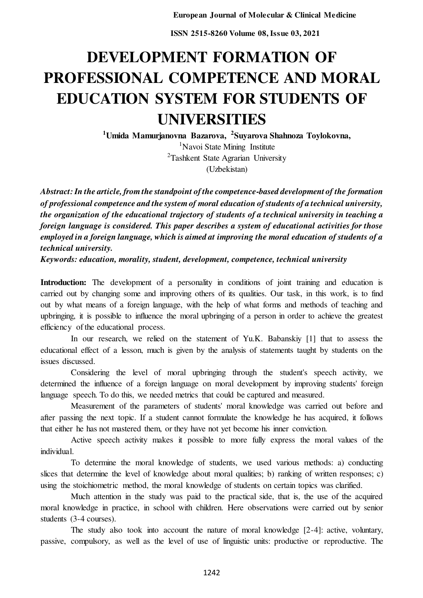**ISSN 2515-8260 Volume 08, Issue 03, 2021** 

# **DEVELOPMENT FORMATION OF PROFESSIONAL COMPETENCE AND MORAL EDUCATION SYSTEM FOR STUDENTS OF UNIVERSITIES**

**<sup>1</sup>Umida Mamurjanovna Bazarova, <sup>2</sup> Suyarova Shahnoza Toylokovna,**   ${}^{1}$ Navoi State Mining Institute <sup>2</sup>Tashkent State Agrarian University (Uzbekistan)

*Abstract: In the article, from the standpoint of the competence-based development of the formation of professional competence and the system of moral education of students of a technical university, the organization of the educational trajectory of students of a technical university in teaching a foreign language is considered. This paper describes a system of educational activities for those employed in a foreign language, which is aimed at improving the moral education of students of a technical university.* 

*Keywords: education, morality, student, development, competence, technical university* 

Introduction: The development of a personality in conditions of joint training and education is carried out by changing some and improving others of its qualities. Our task, in this work, is to find out by what means of a foreign language, with the help of what forms and methods of teaching and upbringing, it is possible to influence the moral upbringing of a person in order to achieve the greatest efficiency of the educational process.

In our research, we relied on the statement of Yu.K. Babanskiy [1] that to assess the educational effect of a lesson, much is given by the analysis of statements taught by students on the issues discussed.

Considering the level of moral upbringing through the student's speech activity, we determined the influence of a foreign language on moral development by improving students' foreign language speech. To do this, we needed metrics that could be captured and measured.

Measurement of the parameters of students' moral knowledge was carried out before and after passing the next topic. If a student cannot formulate the knowledge he has acquired, it follows that either he has not mastered them, or they have not yet become his inner conviction.

Active speech activity makes it possible to more fully express the moral values of the individual.

To determine the moral knowledge of students, we used various methods: a) conducting slices that determine the level of knowledge about moral qualities; b) ranking of written responses; c) using the stoichiometric method, the moral knowledge of students on certain topics was clarified.

Much attention in the study was paid to the practical side, that is, the use of the acquired moral knowledge in practice, in school with children. Here observations were carried out by senior students (3-4 courses).

The study also took into account the nature of moral knowledge [2-4]: active, voluntary, passive, compulsory, as well as the level of use of linguistic units: productive or reproductive. The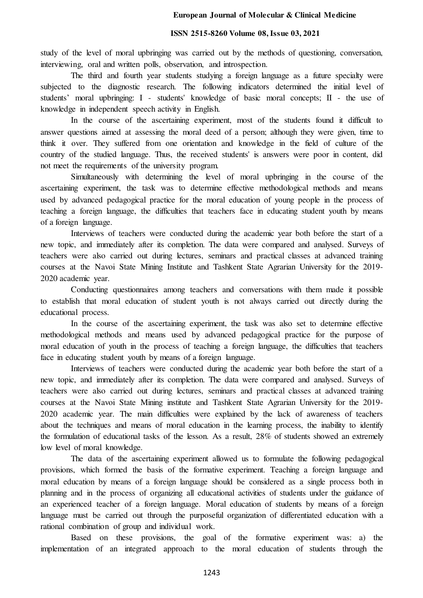#### **ISSN 2515-8260 Volume 08, Issue 03, 2021**

study of the level of moral upbringing was carried out by the methods of questioning, conversation, interviewing, oral and written polls, observation, and introspection.

The third and fourth year students studying a foreign language as a future specialty were subjected to the diagnostic research. The following indicators determined the initial level of students' moral upbringing: I - students' knowledge of basic moral concepts; II - the use of knowledge in independent speech activity in English.

In the course of the ascertaining experiment, most of the students found it difficult to answer questions aimed at assessing the moral deed of a person; although they were given, time to think it over. They suffered from one orientation and knowledge in the field of culture of the country of the studied language. Thus, the received students' is answers were poor in content, did not meet the requirements of the university program.

Simultaneously with determining the level of moral upbringing in the course of the ascertaining experiment, the task was to determine effective methodological methods and means used by advanced pedagogical practice for the moral education of young people in the process of teaching a foreign language, the difficulties that teachers face in educating student youth by means of a foreign language.

Interviews of teachers were conducted during the academic year both before the start of a new topic, and immediately after its completion. The data were compared and analysed. Surveys of teachers were also carried out during lectures, seminars and practical classes at advanced training courses at the Navoi State Mining Institute and Tashkent State Agrarian University for the 2019- 2020 academic year.

Conducting questionnaires among teachers and conversations with them made it possible to establish that moral education of student youth is not always carried out directly during the educational process.

In the course of the ascertaining experiment, the task was also set to determine effective methodological methods and means used by advanced pedagogical practice for the purpose of moral education of youth in the process of teaching a foreign language, the difficulties that teachers face in educating student youth by means of a foreign language.

Interviews of teachers were conducted during the academic year both before the start of a new topic, and immediately after its completion. The data were compared and analysed. Surveys of teachers were also carried out during lectures, seminars and practical classes at advanced training courses at the Navoi State Mining institute and Tashkent State Agrarian University for the 2019- 2020 academic year. The main difficulties were explained by the lack of awareness of teachers about the techniques and means of moral education in the learning process, the inability to identify the formulation of educational tasks of the lesson. As a result, 28% of students showed an extremely low level of moral knowledge.

The data of the ascertaining experiment allowed us to formulate the following pedagogical provisions, which formed the basis of the formative experiment. Teaching a foreign language and moral education by means of a foreign language should be considered as a single process both in planning and in the process of organizing all educational activities of students under the guidance of an experienced teacher of a foreign language. Moral education of students by means of a foreign language must be carried out through the purposeful organization of differentiated education with a rational combination of group and individual work.

Based on these provisions, the goal of the formative experiment was: a) the implementation of an integrated approach to the moral education of students through the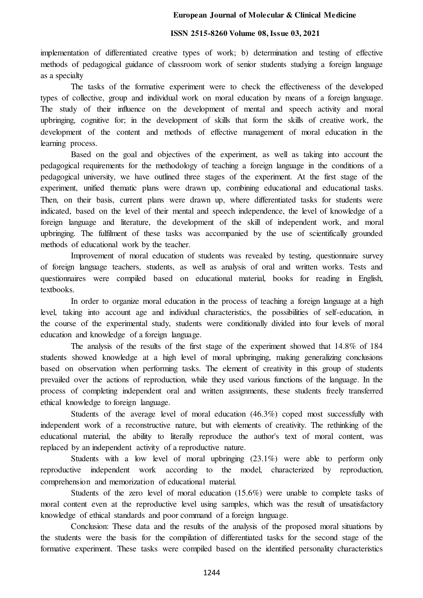#### **European Journal of Molecular & Clinical Medicine**

### **ISSN 2515-8260 Volume 08, Issue 03, 2021**

implementation of differentiated creative types of work; b) determination and testing of effective methods of pedagogical guidance of classroom work of senior students studying a foreign language as a specialty

The tasks of the formative experiment were to check the effectiveness of the developed types of collective, group and individual work on moral education by means of a foreign language. The study of their influence on the development of mental and speech activity and moral upbringing, cognitive for; in the development of skills that form the skills of creative work, the development of the content and methods of effective management of moral education in the learning process.

Based on the goal and objectives of the experiment, as well as taking into account the pedagogical requirements for the methodology of teaching a foreign language in the conditions of a pedagogical university, we have outlined three stages of the experiment. At the first stage of the experiment, unified thematic plans were drawn up, combining educational and educational tasks. Then, on their basis, current plans were drawn up, where differentiated tasks for students were indicated, based on the level of their mental and speech independence, the level of knowledge of a foreign language and literature, the development of the skill of independent work, and moral upbringing. The fulfilment of these tasks was accompanied by the use of scientifically grounded methods of educational work by the teacher.

Improvement of moral education of students was revealed by testing, questionnaire survey of foreign language teachers, students, as well as analysis of oral and written works. Tests and questionnaires were compiled based on educational material, books for reading in English, textbooks.

In order to organize moral education in the process of teaching a foreign language at a high level, taking into account age and individual characteristics, the possibilities of self-education, in the course of the experimental study, students were conditionally divided into four levels of moral education and knowledge of a foreign language.

The analysis of the results of the first stage of the experiment showed that 14.8% of 184 students showed knowledge at a high level of moral upbringing, making generalizing conclusions based on observation when performing tasks. The element of creativity in this group of students prevailed over the actions of reproduction, while they used various functions of the language. In the process of completing independent oral and written assignments, these students freely transferred ethical knowledge to foreign language.

Students of the average level of moral education (46.3%) coped most successfully with independent work of a reconstructive nature, but with elements of creativity. The rethinking of the educational material, the ability to literally reproduce the author's text of moral content, was replaced by an independent activity of a reproductive nature.

Students with a low level of moral upbringing (23.1%) were able to perform only reproductive independent work according to the model, characterized by reproduction, comprehension and memorization of educational material.

Students of the zero level of moral education (15.6%) were unable to complete tasks of moral content even at the reproductive level using samples, which was the result of unsatisfactory knowledge of ethical standards and poor command of a foreign language.

Conclusion: These data and the results of the analysis of the proposed moral situations by the students were the basis for the compilation of differentiated tasks for the second stage of the formative experiment. These tasks were compiled based on the identified personality characteristics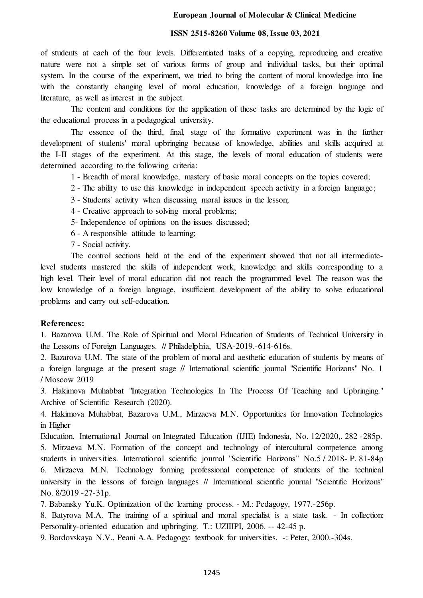#### **European Journal of Molecular & Clinical Medicine**

#### **ISSN 2515-8260 Volume 08, Issue 03, 2021**

of students at each of the four levels. Differentiated tasks of a copying, reproducing and creative nature were not a simple set of various forms of group and individual tasks, but their optimal system. In the course of the experiment, we tried to bring the content of moral knowledge into line with the constantly changing level of moral education, knowledge of a foreign language and literature, as well as interest in the subject.

The content and conditions for the application of these tasks are determined by the logic of the educational process in a pedagogical university.

The essence of the third, final, stage of the formative experiment was in the further development of students' moral upbringing because of knowledge, abilities and skills acquired at the I-II stages of the experiment. At this stage, the levels of moral education of students were determined according to the following criteria:

- 1 Breadth of moral knowledge, mastery of basic moral concepts on the topics covered;
- 2 The ability to use this knowledge in independent speech activity in a foreign language;
- 3 Students' activity when discussing moral issues in the lesson;
- 4 Creative approach to solving moral problems;
- 5- Independence of opinions on the issues discussed;
- 6 A responsible attitude to learning;
- 7 Social activity.

The control sections held at the end of the experiment showed that not all intermediatelevel students mastered the skills of independent work, knowledge and skills corresponding to a high level. Their level of moral education did not reach the programmed level. The reason was the low knowledge of a foreign language, insufficient development of the ability to solve educational problems and carry out self-education.

#### **References:**

1. Bazarova U.M. The Role of Spiritual and Moral Education of Students of Technical University in the Lessons of Foreign Languages. // Philadelphia, USA-2019.-614-616s.

2. Bazarova U.M. The state of the problem of moral and aesthetic education of students by means of a foreign language at the present stage // International scientific journal "Scientific Horizons" No. 1 / Moscow 2019

3. Hakimova Muhabbat "Integration Technologies In The Process Of Teaching and Upbringing." Archive of Scientific Research (2020).

4. Hakimova Muhabbat, Bazarova U.M., Mirzaeva M.N. Opportunities for Innovation Technologies in Higher

Education. International Journal on Integrated Education (IJIE) Indonesia, No. 12/2020,. 282 -285p. 5. Mirzaeva M.N. Formation of the concept and technology of intercultural competence among

students in universities. International scientific journal "Scientific Horizons" No.5 / 2018- P. 81-84p 6. Mirzaeva M.N. Technology forming professional competence of students of the technical university in the lessons of foreign languages // International scientific journal "Scientific Horizons" No. 8/2019 -27-31p.

7. Babansky Yu.K. Optimization of the learning process. - M.: Pedagogy, 1977.-256p.

8. Batyrova M.A. The training of a spiritual and moral specialist is a state task. - In collection: Personality-oriented education and upbringing. T.: UZIIIPI, 2006. -- 42-45 p.

9. Bordovskaya N.V., Peani A.A. Pedagogy: textbook for universities. -: Peter, 2000.-304s.